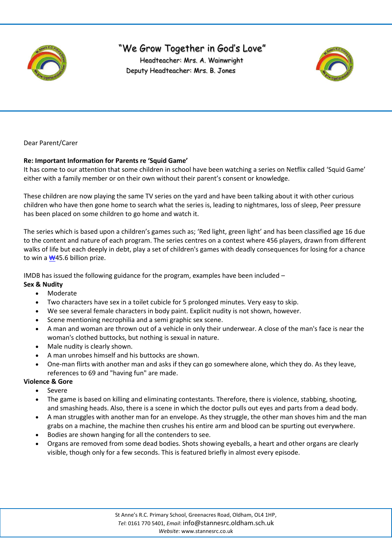

# "We Grow Together in God's Love"

 Headteacher: Mrs. A. Wainwright Deputy Headteacher: Mrs. B. Jones



Dear Parent/Carer

### **Re: Important Information for Parents re 'Squid Game'**

It has come to our attention that some children in school have been watching a series on Netflix called 'Squid Game' either with a family member or on their own without their parent's consent or knowledge.

These children are now playing the same TV series on the yard and have been talking about it with other curious children who have then gone home to search what the series is, leading to nightmares, loss of sleep, Peer pressure has been placed on some children to go home and watch it.

The series which is based upon a children's games such as; 'Red light, green light' and has been classified age 16 due to the content and nature of each program. The series centres on a contest where 456 players, drawn from different walks of life but each deeply in debt, play a set of children's games with deadly consequences for losing for a chance to win a [₩](https://en.wikipedia.org/wiki/South_Korean_won)45.6 billion prize.

IMDB has issued the following guidance for the program, examples have been included –

#### **Sex & Nudity**

- Moderate
- Two characters have sex in a toilet cubicle for 5 prolonged minutes. Very easy to skip.
- We see several female characters in body paint. Explicit nudity is not shown, however.
- Scene mentioning necrophilia and a semi graphic sex scene.
- A man and woman are thrown out of a vehicle in only their underwear. A close of the man's face is near the woman's clothed buttocks, but nothing is sexual in nature.
- Male nudity is clearly shown.
- A man unrobes himself and his buttocks are shown.
- One-man flirts with another man and asks if they can go somewhere alone, which they do. As they leave, references to 69 and "having fun" are made.

#### **Violence & Gore**

- Severe
- The game is based on killing and eliminating contestants. Therefore, there is violence, stabbing, shooting, and smashing heads. Also, there is a scene in which the doctor pulls out eyes and parts from a dead body.
- A man struggles with another man for an envelope. As they struggle, the other man shoves him and the man grabs on a machine, the machine then crushes his entire arm and blood can be spurting out everywhere.
- Bodies are shown hanging for all the contenders to see.
- Organs are removed from some dead bodies. Shots showing eyeballs, a heart and other organs are clearly visible, though only for a few seconds. This is featured briefly in almost every episode.